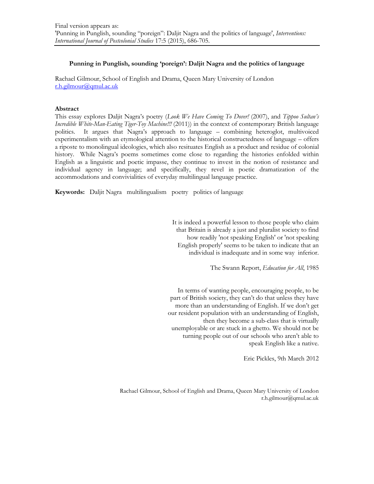## **Punning in Punglish, sounding 'poreign': Daljit Nagra and the politics of language**

Rachael Gilmour, School of English and Drama, Queen Mary University of London [r.h.gilmour@qmul.ac.uk](mailto:r.h.gilmour@qmul.ac.uk)

#### **Abstract**

This essay explores Daljit Nagra's poetry (*Look We Have Coming To Dover!* (2007), and *Tippoo Sultan's Incredible White-Man-Eating Tiger-Toy Machine!!!* (2011)) in the context of contemporary British language politics. It argues that Nagra's approach to language – combining heteroglot, multivoiced experimentalism with an etymological attention to the historical constructedness of language – offers a riposte to monolingual ideologies, which also resituates English as a product and residue of colonial history. While Nagra's poems sometimes come close to regarding the histories enfolded within English as a linguistic and poetic impasse, they continue to invest in the notion of resistance and individual agency in language; and specifically, they revel in poetic dramatization of the accommodations and convivialities of everyday multilingual language practice.

**Keywords:** Daljit Nagra multilingualism poetry politics of language

It is indeed a powerful lesson to those people who claim that Britain is already a just and pluralist society to find how readily 'not speaking English' or 'not speaking English properly' seems to be taken to indicate that an individual is inadequate and in some way inferior.

The Swann Report, *Education for All*, 1985

In terms of wanting people, encouraging people, to be part of British society, they can't do that unless they have more than an understanding of English. If we don't get our resident population with an understanding of English, then they become a sub-class that is virtually unemployable or are stuck in a ghetto. We should not be turning people out of our schools who aren't able to speak English like a native.

Eric Pickles, 9th March 2012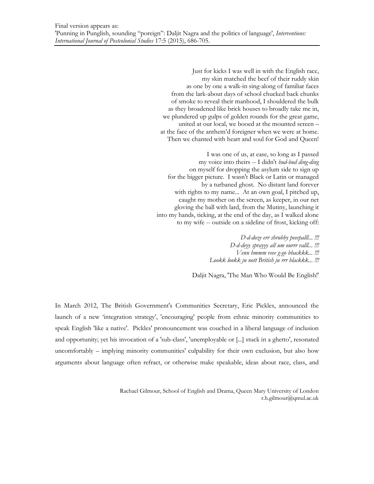Just for kicks I was well in with the English race, my skin matched the beef of their ruddy skin as one by one a walk-in sing-along of familiar faces from the lark-about days of school chucked back chunks of smoke to reveal their manhood, I shouldered the bulk as they broadened like brick houses to broadly take me in, we plundered up gulps of golden rounds for the great game, united at our local, we booed at the mounted screen – at the face of the anthem'd foreigner when we were at home. Then we chanted with heart and soul for God and Queen!

I was one of us, at ease, so long as I passed my voice into theirs -- I didn't *bud-bud ding-ding* on myself for dropping the asylum side to sign up for the bigger picture. I wasn't Black or Latin or managed by a turbaned ghost. No distant land forever with rights to my name... At an own goal, I pitched up, caught my mother on the screen, as keeper, in our net gloving the ball with lard, from the Mutiny, launching it into my hands, ticking, at the end of the day, as I walked alone to my wife -- outside on a sideline of frost, kicking off:

> *D-d-doze err shrubby peeepalll... !!! D-d-deyy sprayyy all um ourrr valll... !!! Venn hmmm veee g-go bbackkk... !!! Lookk lookk ju nott British ju rrr blackkk... !!!*

Daljit Nagra, 'The Man Who Would Be English!'

In March 2012, The British Government's Communities Secretary, Eric Pickles, announced the launch of a new 'integration strategy', 'encouraging' people from ethnic minority communities to speak English 'like a native'. Pickles' pronouncement was couched in a liberal language of inclusion and opportunity; yet his invocation of a 'sub-class', 'unemployable or [...] stuck in a ghetto', resonated uncomfortably – implying minority communities' culpability for their own exclusion, but also how arguments about language often refract, or otherwise make speakable, ideas about race, class, and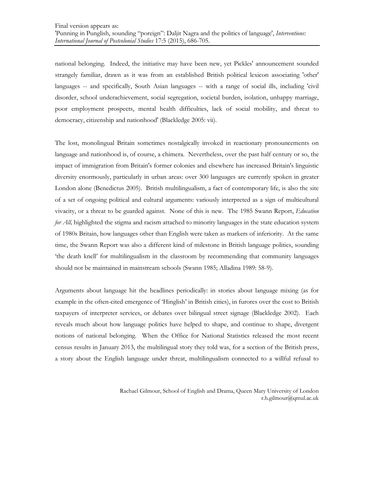national belonging. Indeed, the initiative may have been new, yet Pickles' announcement sounded strangely familiar, drawn as it was from an established British political lexicon associating 'other' languages -- and specifically, South Asian languages -- with a range of social ills, including 'civil disorder, school underachievement, social segregation, societal burden, isolation, unhappy marriage, poor employment prospects, mental health difficulties, lack of social mobility, and threat to democracy, citizenship and nationhood' (Blackledge 2005: vii).

The lost, monolingual Britain sometimes nostalgically invoked in reactionary pronouncements on language and nationhood is, of course, a chimera. Nevertheless, over the past half century or so, the impact of immigration from Britain's former colonies and elsewhere has increased Britain's linguistic diversity enormously, particularly in urban areas: over 300 languages are currently spoken in greater London alone (Benedictus 2005). British multilingualism, a fact of contemporary life, is also the site of a set of ongoing political and cultural arguments: variously interpreted as a sign of multicultural vivacity, or a threat to be guarded against. None of this is new. The 1985 Swann Report, *Education for All*, highlighted the stigma and racism attached to minority languages in the state education system of 1980s Britain, how languages other than English were taken as markers of inferiority. At the same time, the Swann Report was also a different kind of milestone in British language politics, sounding 'the death knell' for multilingualism in the classroom by recommending that community languages should not be maintained in mainstream schools (Swann 1985; Alladina 1989: 58-9).

Arguments about language hit the headlines periodically: in stories about language mixing (as for example in the often-cited emergence of 'Hinglish' in British cities), in furores over the cost to British taxpayers of interpreter services, or debates over bilingual street signage (Blackledge 2002). Each reveals much about how language politics have helped to shape, and continue to shape, divergent notions of national belonging. When the Office for National Statistics released the most recent census results in January 2013, the multilingual story they told was, for a section of the British press, a story about the English language under threat, multilingualism connected to a willful refusal to

Rachael Gilmour, School of English and Drama, Queen Mary University of London r.h.gilmour@qmul.ac.uk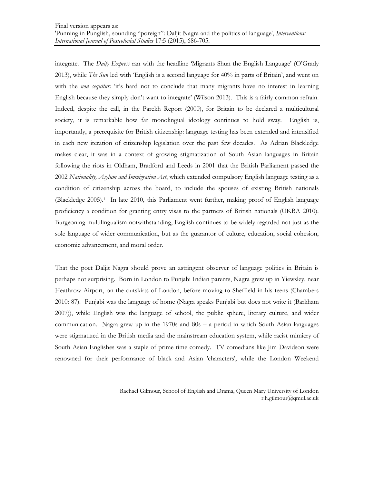integrate. The *Daily Express* ran with the headline 'Migrants Shun the English Language' (O'Grady 2013), while *The Sun* led with 'English is a second language for 40% in parts of Britain', and went on with the *non sequitur*: 'it's hard not to conclude that many migrants have no interest in learning English because they simply don't want to integrate' (Wilson 2013). This is a fairly common refrain. Indeed, despite the call, in the Parekh Report (2000), for Britain to be declared a multicultural society, it is remarkable how far monolingual ideology continues to hold sway. English is, importantly, a prerequisite for British citizenship: language testing has been extended and intensified in each new iteration of citizenship legislation over the past few decades. As Adrian Blackledge makes clear, it was in a context of growing stigmatization of South Asian languages in Britain following the riots in Oldham, Bradford and Leeds in 2001 that the British Parliament passed the 2002 *Nationality, Asylum and Immigration Act*, which extended compulsory English language testing as a condition of citizenship across the board, to include the spouses of existing British nationals (Blackledge 2005).<sup>1</sup> In late 2010, this Parliament went further, making proof of English language proficiency a condition for granting entry visas to the partners of British nationals (UKBA 2010). Burgeoning multilingualism notwithstanding, English continues to be widely regarded not just as the sole language of wider communication, but as the guarantor of culture, education, social cohesion, economic advancement, and moral order.

That the poet Daljit Nagra should prove an astringent observer of language politics in Britain is perhaps not surprising. Born in London to Punjabi Indian parents, Nagra grew up in Yiewsley, near Heathrow Airport, on the outskirts of London, before moving to Sheffield in his teens (Chambers 2010: 87). Punjabi was the language of home (Nagra speaks Punjabi but does not write it (Barkham 2007)), while English was the language of school, the public sphere, literary culture, and wider communication. Nagra grew up in the 1970s and 80s – a period in which South Asian languages were stigmatized in the British media and the mainstream education system, while racist mimicry of South Asian Englishes was a staple of prime time comedy. TV comedians like Jim Davidson were renowned for their performance of black and Asian 'characters', while the London Weekend

Rachael Gilmour, School of English and Drama, Queen Mary University of London r.h.gilmour@qmul.ac.uk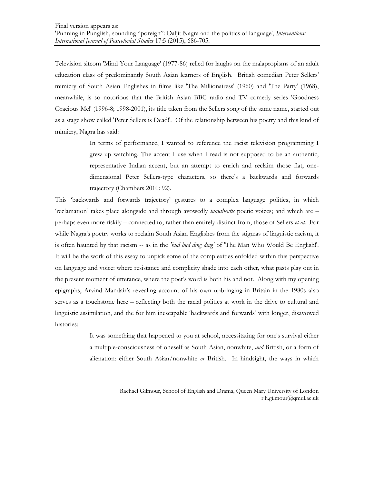Television sitcom 'Mind Your Language' (1977-86) relied for laughs on the malapropisms of an adult education class of predominantly South Asian learners of English. British comedian Peter Sellers' mimicry of South Asian Englishes in films like 'The Millionairess' (1960) and 'The Party' (1968), meanwhile, is so notorious that the British Asian BBC radio and TV comedy series 'Goodness Gracious Me!' (1996-8; 1998-2001), its title taken from the Sellers song of the same name, started out as a stage show called 'Peter Sellers is Dead!'. Of the relationship between his poetry and this kind of mimicry, Nagra has said:

> In terms of performance, I wanted to reference the racist television programming I grew up watching. The accent I use when I read is not supposed to be an authentic, representative Indian accent, but an attempt to enrich and reclaim those flat, onedimensional Peter Sellers-type characters, so there's a backwards and forwards trajectory (Chambers 2010: 92).

This 'backwards and forwards trajectory' gestures to a complex language politics, in which 'reclamation' takes place alongside and through avowedly *inauthentic* poetic voices; and which are – perhaps even more riskily – connected to, rather than entirely distinct from, those of Sellers *et al*. For while Nagra's poetry works to reclaim South Asian Englishes from the stigmas of linguistic racism, it is often haunted by that racism -- as in the *'bud bud ding ding'* of 'The Man Who Would Be English!'*.*  It will be the work of this essay to unpick some of the complexities enfolded within this perspective on language and voice: where resistance and complicity shade into each other, what pasts play out in the present moment of utterance, where the poet's word is both his and not. Along with my opening epigraphs, Arvind Mandair's revealing account of his own upbringing in Britain in the 1980s also serves as a touchstone here – reflecting both the racial politics at work in the drive to cultural and linguistic assimilation, and the for him inescapable 'backwards and forwards' with longer, disavowed histories:

> It was something that happened to you at school, necessitating for one's survival either a multiple-consciousness of oneself as South Asian, nonwhite, *and* British, or a form of alienation: either South Asian/nonwhite *or* British. In hindsight, the ways in which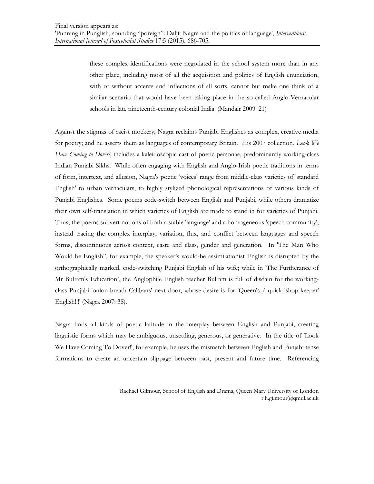these complex identifications were negotiated in the school system more than in any other place, including most of all the acquisition and politics of English enunciation, with or without accents and inflections of all sorts, cannot but make one think of a similar scenario that would have been taking place in the so-called Anglo-Vernacular schools in late nineteenth-century colonial India. (Mandair 2009: 21)

Against the stigmas of racist mockery, Nagra reclaims Punjabi Englishes as complex, creative media for poetry; and he asserts them as languages of contemporary Britain. His 2007 collection, *Look We Have Coming to Dover!*, includes a kaleidoscopic cast of poetic personae, predominantly working-class Indian Punjabi Sikhs. While often engaging with English and Anglo-Irish poetic traditions in terms of form, intertext, and allusion, Nagra's poetic 'voices' range from middle-class varieties of 'standard English' to urban vernaculars, to highly stylized phonological representations of various kinds of Punjabi Englishes. Some poems code-switch between English and Punjabi, while others dramatize their own self-translation in which varieties of English are made to stand in for varieties of Punjabi. Thus, the poems subvert notions of both a stable 'language' and a homogeneous 'speech community', instead tracing the complex interplay, variation, flux, and conflict between languages and speech forms, discontinuous across context, caste and class, gender and generation. In 'The Man Who Would be English!', for example, the speaker's would-be assimilationist English is disrupted by the orthographically marked, code-switching Punjabi English of his wife; while in 'The Furtherance of Mr Bulram's Education', the Anglophile English teacher Bulram is full of disdain for the workingclass Punjabi 'onion-breath Calibans' next door, whose desire is for 'Queen's / quick 'shop-keeper' English!!!' (Nagra 2007: 38).

Nagra finds all kinds of poetic latitude in the interplay between English and Punjabi, creating linguistic forms which may be ambiguous, unsettling, generous, or generative. In the title of 'Look We Have Coming To Dover!', for example, he uses the mismatch between English and Punjabi tense formations to create an uncertain slippage between past, present and future time. Referencing

Rachael Gilmour, School of English and Drama, Queen Mary University of London r.h.gilmour@qmul.ac.uk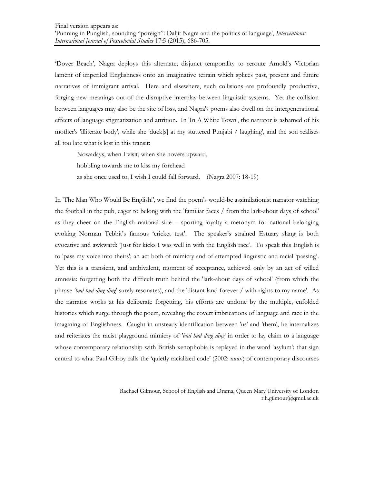'Dover Beach', Nagra deploys this alternate, disjunct temporality to reroute Arnold's Victorian lament of imperiled Englishness onto an imaginative terrain which splices past, present and future narratives of immigrant arrival. Here and elsewhere, such collisions are profoundly productive, forging new meanings out of the disruptive interplay between linguistic systems. Yet the collision between languages may also be the site of loss, and Nagra's poems also dwell on the intergenerational effects of language stigmatization and attrition. In 'In A White Town', the narrator is ashamed of his mother's 'illiterate body', while she 'duck[s] at my stuttered Punjabi / laughing', and the son realises all too late what is lost in this transit:

Nowadays, when I visit, when she hovers upward, hobbling towards me to kiss my forehead as she once used to, I wish I could fall forward. (Nagra 2007: 18-19)

In 'The Man Who Would Be English!', we find the poem's would-be assimilationist narrator watching the football in the pub, eager to belong with the 'familiar faces / from the lark-about days of school' as they cheer on the English national side – sporting loyalty a metonym for national belonging evoking Norman Tebbit's famous 'cricket test'. The speaker's strained Estuary slang is both evocative and awkward: 'Just for kicks I was well in with the English race'. To speak this English is to 'pass my voice into theirs'; an act both of mimicry and of attempted linguistic and racial 'passing'. Yet this is a transient, and ambivalent, moment of acceptance, achieved only by an act of willed amnesia: forgetting both the difficult truth behind the 'lark-about days of school' (from which the phrase *'bud bud ding ding*' surely resonates), and the 'distant land forever / with rights to my name'. As the narrator works at his deliberate forgetting, his efforts are undone by the multiple, enfolded histories which surge through the poem, revealing the covert imbrications of language and race in the imagining of Englishness. Caught in unsteady identification between 'us' and 'them', he internalizes and reiterates the racist playground mimicry of *'bud bud ding ding*' in order to lay claim to a language whose contemporary relationship with British xenophobia is replayed in the word 'asylum': that sign central to what Paul Gilroy calls the 'quietly racialized code' (2002: xxxv) of contemporary discourses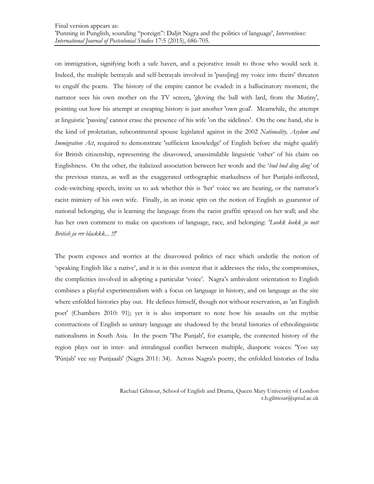on immigration, signifying both a safe haven, and a pejorative insult to those who would seek it. Indeed, the multiple betrayals and self-betrayals involved in 'pass[ing] my voice into theirs' threaten to engulf the poem. The history of the empire cannot be evaded: in a hallucinatory moment, the narrator sees his own mother on the TV screen, 'gloving the ball with lard, from the Mutiny', pointing out how his attempt at escaping history is just another 'own goal'. Meanwhile, the attempt at linguistic 'passing' cannot erase the presence of his wife 'on the sidelines'. On the one hand, she is the kind of proletarian, subcontinental spouse legislated against in the 2002 *Nationality, Asylum and Immigration Act*, required to demonstrate 'sufficient knowledge' of English before she might qualify for British citizenship, representing the disavowed, unassimilable linguistic 'other' of his claim on Englishness. On the other, the italicized association between her words and the '*bud bud ding ding'* of the previous stanza, as well as the exaggerated orthographic markedness of her Punjabi-inflected, code-switching speech, invite us to ask whether this is 'her' voice we are hearing, or the narrator's racist mimicry of his own wife. Finally, in an ironic spin on the notion of English as guarantor of national belonging, she is learning the language from the racist graffiti sprayed on her wall; and she has her own comment to make on questions of language, race, and belonging: *'Lookk lookk ju nott British ju rrr blackkk... !!!*'

The poem exposes and worries at the disavowed politics of race which underlie the notion of 'speaking English like a native', and it is in this context that it addresses the risks, the compromises, the complicities involved in adopting a particular 'voice'. Nagra's ambivalent orientation to English combines a playful experimentalism with a focus on language in history, and on language as the site where enfolded histories play out. He defines himself, though not without reservation, as 'an English poet' (Chambers 2010: 91); yet it is also important to note how his assaults on the mythic constructions of English as unitary language are shadowed by the brutal histories of ethnolinguistic nationalisms in South Asia. In the poem 'The Punjab', for example, the contested history of the region plays out in inter- and intralingual conflict between multiple, diasporic voices: 'Yoo say 'Púnjab' vee say Punjaaab' (Nagra 2011: 34). Across Nagra's poetry, the enfolded histories of India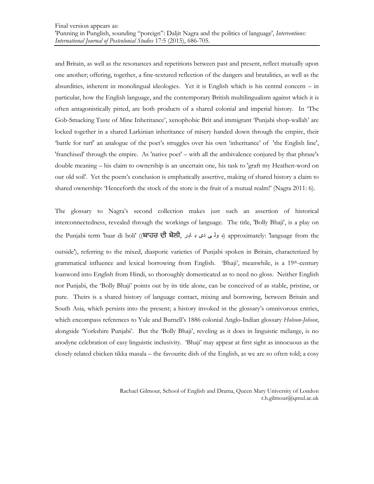and Britain, as well as the resonances and repetitions between past and present, reflect mutually upon one another; offering, together, a fine-textured reflection of the dangers and brutalities, as well as the absurdities, inherent in monolingual ideologies. Yet it is English which is his central concern – in particular, how the English language, and the contemporary British multilingualism against which it is often antagonistically pitted, are both products of a shared colonial and imperial history. In 'The Gob-Smacking Taste of Mine Inheritance', xenophobic Brit and immigrant 'Punjabi shop-wallah' are locked together in a shared Larkinian inheritance of misery handed down through the empire, their 'battle for turf' an analogue of the poet's struggles over his own 'inheritance' of 'the English line', 'franchised' through the empire. As 'native poet' – with all the ambivalence conjured by that phrase's double meaning – his claim to ownership is an uncertain one, his task to 'graft my Heathen-word on our old soil'. Yet the poem's conclusion is emphatically assertive, making of shared history a claim to shared ownership: 'Henceforth the stock of the store is the fruit of a mutual realm!' (Nagra 2011: 6).

The glossary to Nagra's second collection makes just such an assertion of historical interconnectedness, revealed through the workings of language. The title, 'Bolly Bhaji', is a play on the Punjabi term 'baar di boli' ((ਬਾਹਰ ਦੀ ਬੋਲੀ, بولی دی به ابر بابر) approximately: 'language from the

outside'), referring to the mixed, diasporic varieties of Punjabi spoken in Britain, characterized by grammatical influence and lexical borrowing from English. 'Bhaji', meanwhile, is a 19<sup>th</sup>-century loanword into English from Hindi, so thoroughly domesticated as to need no gloss. Neither English nor Punjabi, the 'Bolly Bhaji' points out by its title alone, can be conceived of as stable, pristine, or pure. Theirs is a shared history of language contact, mixing and borrowing, between Britain and South Asia, which persists into the present; a history invoked in the glossary's omnivorous entries, which encompass references to Yule and Burnell's 1886 colonial Anglo-Indian glossary *Hobson-Jobson*, alongside 'Yorkshire Punjabi'. But the 'Bolly Bhaji', reveling as it does in linguistic mélange, is no anodyne celebration of easy linguistic inclusivity. 'Bhaji' may appear at first sight as innocuous as the closely related chicken tikka masala – the favourite dish of the English, as we are so often told; a cosy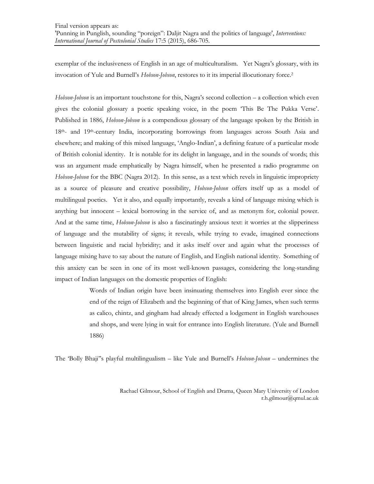exemplar of the inclusiveness of English in an age of multiculturalism. Yet Nagra's glossary, with its invocation of Yule and Burnell's *Hobson-Jobson*, restores to it its imperial illocutionary force. 2

*Hobson-Jobson* is an important touchstone for this, Nagra's second collection – a collection which even gives the colonial glossary a poetic speaking voice, in the poem 'This Be The Pukka Verse'. Published in 1886, *Hobson-Jobson* is a compendious glossary of the language spoken by the British in 18th- and 19th-century India, incorporating borrowings from languages across South Asia and elsewhere; and making of this mixed language, 'Anglo-Indian', a defining feature of a particular mode of British colonial identity. It is notable for its delight in language, and in the sounds of words; this was an argument made emphatically by Nagra himself, when he presented a radio programme on *Hobson-Jobson* for the BBC (Nagra 2012). In this sense, as a text which revels in linguistic impropriety as a source of pleasure and creative possibility, *Hobson-Jobson* offers itself up as a model of multilingual poetics. Yet it also, and equally importantly, reveals a kind of language mixing which is anything but innocent – lexical borrowing in the service of, and as metonym for, colonial power. And at the same time, *Hobson-Jobson* is also a fascinatingly anxious text: it worries at the slipperiness of language and the mutability of signs; it reveals, while trying to evade, imagined connections between linguistic and racial hybridity; and it asks itself over and again what the processes of language mixing have to say about the nature of English, and English national identity. Something of this anxiety can be seen in one of its most well-known passages, considering the long-standing impact of Indian languages on the domestic properties of English:

> Words of Indian origin have been insinuating themselves into English ever since the end of the reign of Elizabeth and the beginning of that of King James, when such terms as calico, chintz, and gingham had already effected a lodgement in English warehouses and shops, and were lying in wait for entrance into English literature. (Yule and Burnell 1886)

The 'Bolly Bhaji''s playful multilingualism – like Yule and Burnell's *Hobson-Jobson* – undermines the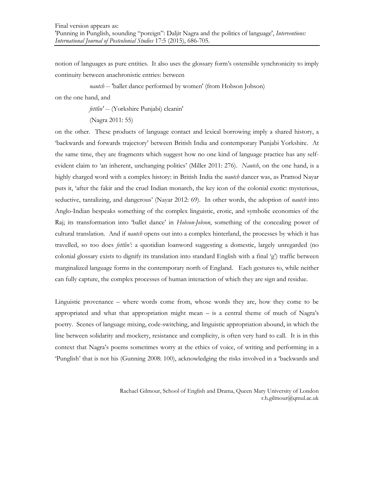notion of languages as pure entities. It also uses the glossary form's ostensible synchronicity to imply continuity between anachronistic entries: between

*nautch* -- 'ballet dance performed by women' (from Hobson Jobson) on the one hand, and

*fettlin'* -- (Yorkshire Punjabi) cleanin'

(Nagra 2011: 55)

on the other. These products of language contact and lexical borrowing imply a shared history, a 'backwards and forwards trajectory' between British India and contemporary Punjabi Yorkshire. At the same time, they are fragments which suggest how no one kind of language practice has any selfevident claim to 'an inherent, unchanging politics' (Miller 2011: 276). *Nautch*, on the one hand, is a highly charged word with a complex history: in British India the *nautch* dancer was, as Pramod Nayar puts it, 'after the fakir and the cruel Indian monarch, the key icon of the colonial exotic: mysterious, seductive, tantalizing, and dangerous' (Nayar 2012: 69). In other words, the adoption of *nautch* into Anglo-Indian bespeaks something of the complex linguistic, erotic, and symbolic economies of the Raj; its transformation into 'ballet dance' in *Hobson-Jobson*, something of the concealing power of cultural translation. And if *nautch* opens out into a complex hinterland, the processes by which it has travelled, so too does *fettlin'*: a quotidian loanword suggesting a domestic, largely unregarded (no colonial glossary exists to dignify its translation into standard English with a final 'g') traffic between marginalized language forms in the contemporary north of England. Each gestures to, while neither can fully capture, the complex processes of human interaction of which they are sign and residue.

Linguistic provenance – where words come from, whose words they are, how they come to be appropriated and what that appropriation might mean – is a central theme of much of Nagra's poetry. Scenes of language mixing, code-switching, and linguistic appropriation abound, in which the line between solidarity and mockery, resistance and complicity, is often very hard to call. It is in this context that Nagra's poems sometimes worry at the ethics of voice, of writing and performing in a 'Punglish' that is not his (Gunning 2008: 100), acknowledging the risks involved in a 'backwards and

Rachael Gilmour, School of English and Drama, Queen Mary University of London r.h.gilmour@qmul.ac.uk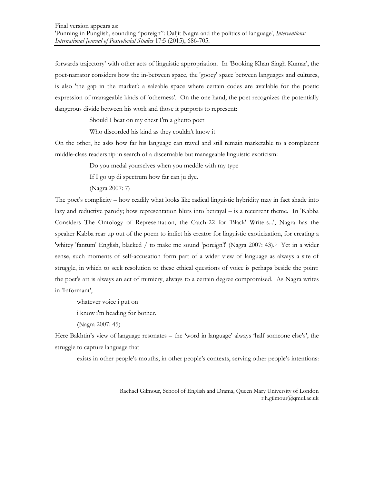forwards trajectory' with other acts of linguistic appropriation. In 'Booking Khan Singh Kumar', the poet-narrator considers how the in-between space, the 'gooey' space between languages and cultures, is also 'the gap in the market': a saleable space where certain codes are available for the poetic expression of manageable kinds of 'otherness'. On the one hand, the poet recognizes the potentially dangerous divide between his work and those it purports to represent:

Should I beat on my chest I'm a ghetto poet

Who discorded his kind as they couldn't know it

On the other, he asks how far his language can travel and still remain marketable to a complacent middle-class readership in search of a discernable but manageable linguistic exoticism:

Do you medal yourselves when you meddle with my type

If I go up di spectrum how far can ju dye.

(Nagra 2007: 7)

The poet's complicity – how readily what looks like radical linguistic hybridity may in fact shade into lazy and reductive parody; how representation blurs into betrayal – is a recurrent theme. In 'Kabba Considers The Ontology of Representation, the Catch-22 for 'Black' Writers...', Nagra has the speaker Kabba rear up out of the poem to indict his creator for linguistic exoticization, for creating a 'whitey 'fantum' English, blacked / to make me sound 'poreign'!' (Nagra 2007: 43).<sup>3</sup> Yet in a wider sense, such moments of self-accusation form part of a wider view of language as always a site of struggle, in which to seek resolution to these ethical questions of voice is perhaps beside the point: the poet's art is always an act of mimicry, always to a certain degree compromised. As Nagra writes in 'Informant',

whatever voice i put on

i know i'm heading for bother.

(Nagra 2007: 45)

Here Bakhtin's view of language resonates – the 'word in language' always 'half someone else's', the struggle to capture language that

exists in other people's mouths, in other people's contexts, serving other people's intentions: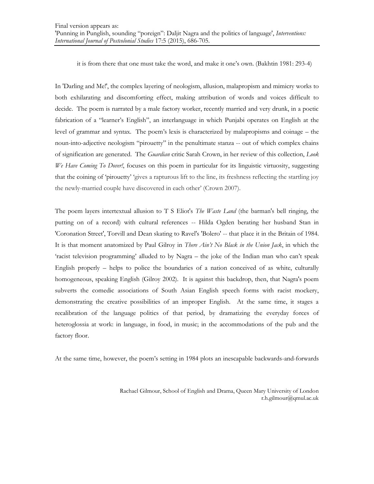it is from there that one must take the word, and make it one's own. (Bakhtin 1981: 293-4)

In 'Darling and Me!', the complex layering of neologism, allusion, malapropism and mimicry works to both exhilarating and discomforting effect, making attribution of words and voices difficult to decide. The poem is narrated by a male factory worker, recently married and very drunk, in a poetic fabrication of a "learner's English", an interlanguage in which Punjabi operates on English at the level of grammar and syntax. The poem's lexis is characterized by malapropisms and coinage – the noun-into-adjective neologism "pirouetty" in the penultimate stanza -- out of which complex chains of signification are generated. The *Guardian* critic Sarah Crown, in her review of this collection, *Look We Have Coming To Dover!*, focuses on this poem in particular for its linguistic virtuosity, suggesting that the coining of 'pirouetty' 'gives a rapturous lift to the line, its freshness reflecting the startling joy the newly-married couple have discovered in each other' (Crown 2007).

The poem layers intertextual allusion to T S Eliot's *The Waste Land* (the barman's bell ringing, the putting on of a record) with cultural references -- Hilda Ogden berating her husband Stan in 'Coronation Street', Torvill and Dean skating to Ravel's 'Bolero' -- that place it in the Britain of 1984. It is that moment anatomized by Paul Gilroy in *There Ain't No Black in the Union Jack*, in which the 'racist television programming' alluded to by Nagra – the joke of the Indian man who can't speak English properly – helps to police the boundaries of a nation conceived of as white, culturally homogeneous, speaking English (Gilroy 2002). It is against this backdrop, then, that Nagra's poem subverts the comedic associations of South Asian English speech forms with racist mockery, demonstrating the creative possibilities of an improper English. At the same time, it stages a recalibration of the language politics of that period, by dramatizing the everyday forces of heteroglossia at work: in language, in food, in music; in the accommodations of the pub and the factory floor.

At the same time, however, the poem's setting in 1984 plots an inescapable backwards-and-forwards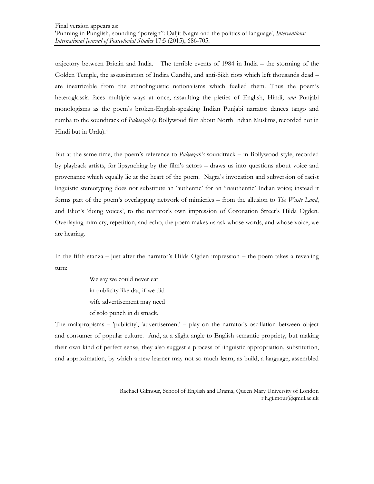trajectory between Britain and India. The terrible events of 1984 in India – the storming of the Golden Temple, the assassination of Indira Gandhi, and anti-Sikh riots which left thousands dead – are inextricable from the ethnolinguistic nationalisms which fuelled them. Thus the poem's heteroglossia faces multiple ways at once, assaulting the pieties of English, Hindi, *and* Punjabi monologisms as the poem's broken-English-speaking Indian Punjabi narrator dances tango and rumba to the soundtrack of *Pakeezah* (a Bollywood film about North Indian Muslims, recorded not in Hindi but in Urdu).<sup>4</sup>

But at the same time, the poem's reference to *Pakeezah's* soundtrack – in Bollywood style, recorded by playback artists, for lipsynching by the film's actors – draws us into questions about voice and provenance which equally lie at the heart of the poem. Nagra's invocation and subversion of racist linguistic stereotyping does not substitute an 'authentic' for an 'inauthentic' Indian voice; instead it forms part of the poem's overlapping network of mimicries – from the allusion to *The Waste Land*, and Eliot's 'doing voices', to the narrator's own impression of Coronation Street's Hilda Ogden. Overlaying mimicry, repetition, and echo, the poem makes us ask whose words, and whose voice, we are hearing.

In the fifth stanza – just after the narrator's Hilda Ogden impression – the poem takes a revealing turn:

> We say we could never eat in publicity like dat, if we did wife advertisement may need of solo punch in di smack.

The malapropisms – 'publicity', 'advertisement' – play on the narrator's oscillation between object and consumer of popular culture. And, at a slight angle to English semantic propriety, but making their own kind of perfect sense, they also suggest a process of linguistic appropriation, substitution, and approximation, by which a new learner may not so much learn, as build, a language, assembled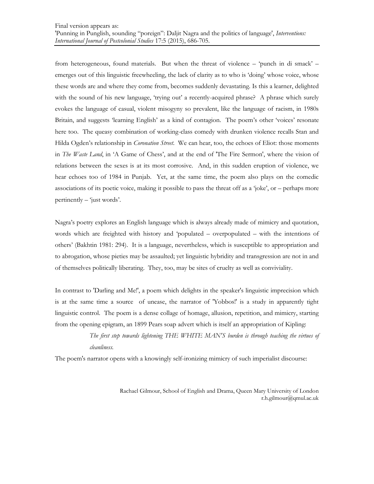from heterogeneous, found materials. But when the threat of violence – 'punch in di smack' – emerges out of this linguistic freewheeling, the lack of clarity as to who is 'doing' whose voice, whose these words are and where they come from, becomes suddenly devastating. Is this a learner, delighted with the sound of his new language, 'trying out' a recently-acquired phrase? A phrase which surely evokes the language of casual, violent misogyny so prevalent, like the language of racism, in 1980s Britain, and suggests 'learning English' as a kind of contagion. The poem's other 'voices' resonate here too. The queasy combination of working-class comedy with drunken violence recalls Stan and Hilda Ogden's relationship in *Coronation Street*. We can hear, too, the echoes of Eliot: those moments in *The Waste Land*, in 'A Game of Chess', and at the end of 'The Fire Sermon', where the vision of relations between the sexes is at its most corrosive. And, in this sudden eruption of violence, we hear echoes too of 1984 in Punjab. Yet, at the same time, the poem also plays on the comedic associations of its poetic voice, making it possible to pass the threat off as a 'joke', or – perhaps more pertinently – 'just words'.

Nagra's poetry explores an English language which is always already made of mimicry and quotation, words which are freighted with history and 'populated – overpopulated – with the intentions of others' (Bakhtin 1981: 294). It is a language, nevertheless, which is susceptible to appropriation and to abrogation, whose pieties may be assaulted; yet linguistic hybridity and transgression are not in and of themselves politically liberating. They, too, may be sites of cruelty as well as conviviality.

In contrast to 'Darling and Me!', a poem which delights in the speaker's linguistic imprecision which is at the same time a source of unease, the narrator of 'Yobbos!' is a study in apparently tight linguistic control. The poem is a dense collage of homage, allusion, repetition, and mimicry, starting from the opening epigram, an 1899 Pears soap advert which is itself an appropriation of Kipling:

> *The first step towards lightening THE WHITE MAN'S burden is through teaching the virtues of cleanliness.*

The poem's narrator opens with a knowingly self-ironizing mimicry of such imperialist discourse: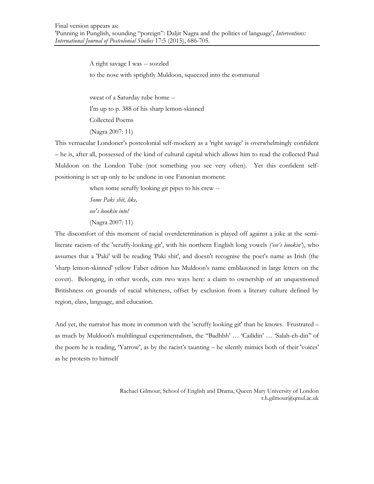A right savage I was -- sozzled to the nose with sprightly Muldoon, squeezed into the communal

sweat of a Saturday tube home -- I'm up to p. 388 of his sharp lemon-skinned Collected Poems (Nagra 2007: 11)

This vernacular Londoner's postcolonial self-mockery as a 'right savage' is overwhelmingly confident – he is, after all, possessed of the kind of cultural capital which allows him to read the collected Paul Muldoon on the London Tube (not something you see very often). Yet this confident selfpositioning is set up only to be undone in one Fanonian moment:

> when some scruffy looking git pipes to his crew -- *Some Paki shit, like, eee's loookin into!* (Nagra 2007: 11)

The discomfort of this moment of racial overdetermination is played off against a joke at the semiliterate racism of the 'scruffy-looking git', with his northern English long vowels *('eee's loookin'*), who assumes that a 'Paki' will be reading 'Paki shit', and doesn't recognise the poet's name as Irish (the 'sharp lemon-skinned' yellow Faber edition has Muldoon's name emblazoned in large letters on the cover). Belonging, in other words, cuts two ways here: a claim to ownership of an unquestioned Britishness on grounds of racial whiteness, offset by exclusion from a literary culture defined by region, class, language, and education.

And yet, the narrator has more in common with the 'scruffy looking git' than he knows. Frustrated – as much by Muldoon's multilingual experimentalism, the ''Badhbh' … 'Cailidin' … 'Salah-eh-din'' of the poem he is reading, 'Yarrow', as by the racist's taunting – he silently mimics both of their 'voices' as he protests to himself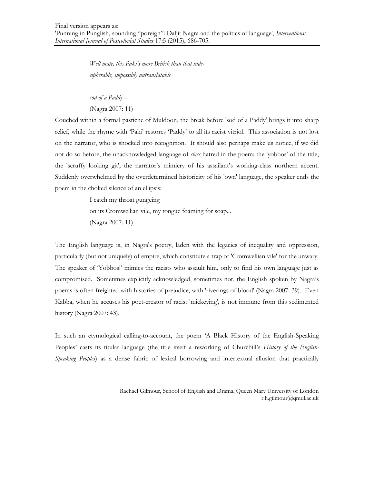*Well mate, this Paki's more British than that indecipherable, impossibly untranslatable*

*sod of a Paddy --*

(Nagra 2007: 11)

Couched within a formal pastiche of Muldoon, the break before 'sod of a Paddy' brings it into sharp relief, while the rhyme with 'Paki' restores 'Paddy' to all its racist vitriol. This association is not lost on the narrator, who is shocked into recognition. It should also perhaps make us notice, if we did not do so before, the unacknowledged language of *class* hatred in the poem: the 'yobbos' of the title, the 'scruffy looking git', the narrator's mimicry of his assailant's working-class northern accent. Suddenly overwhelmed by the overdetermined historicity of his 'own' language, the speaker ends the poem in the choked silence of an ellipsis:

> I catch my throat gungeing on its Cromwellian vile, my tongue foaming for soap... (Nagra 2007: 11)

The English language is, in Nagra's poetry, laden with the legacies of inequality and oppression, particularly (but not uniquely) of empire, which constitute a trap of 'Cromwellian vile' for the unwary. The speaker of 'Yobbos!' mimics the racists who assault him, only to find his own language just as compromised. Sometimes explicitly acknowledged, sometimes not, the English spoken by Nagra's poems is often freighted with histories of prejudice, with 'riverings of blood' (Nagra 2007: 39). Even Kabba, when he accuses his poet-creator of racist 'mickeying', is not immune from this sedimented history (Nagra 2007: 43).

In such an etymological calling-to-account, the poem 'A Black History of the English-Speaking Peoples' casts its titular language (the title itself a reworking of Churchill's *History of the English-Speaking Peoples*) as a dense fabric of lexical borrowing and intertextual allusion that practically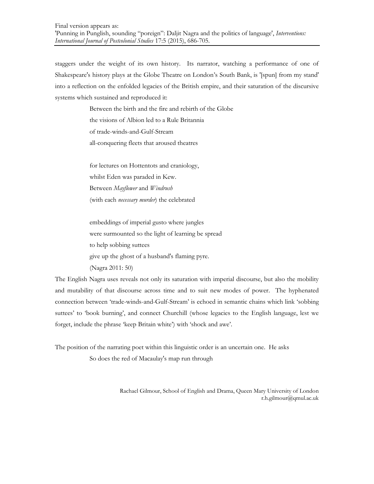staggers under the weight of its own history. Its narrator, watching a performance of one of Shakespeare's history plays at the Globe Theatre on London's South Bank, is '[spun] from my stand' into a reflection on the enfolded legacies of the British empire, and their saturation of the discursive systems which sustained and reproduced it:

> Between the birth and the fire and rebirth of the Globe the visions of Albion led to a Rule Britannia of trade-winds-and-Gulf-Stream all-conquering fleets that aroused theatres

for lectures on Hottentots and craniology, whilst Eden was paraded in Kew. Between *Mayflower* and *Windrush* (with each *necessary murder*) the celebrated

embeddings of imperial gusto where jungles were surmounted so the light of learning be spread to help sobbing suttees give up the ghost of a husband's flaming pyre. (Nagra 2011: 50)

The English Nagra uses reveals not only its saturation with imperial discourse, but also the mobility and mutability of that discourse across time and to suit new modes of power. The hyphenated connection between 'trade-winds-and-Gulf-Stream' is echoed in semantic chains which link 'sobbing suttees' to 'book burning', and connect Churchill (whose legacies to the English language, lest we forget, include the phrase 'keep Britain white') with 'shock and awe'.

The position of the narrating poet within this linguistic order is an uncertain one. He asks

So does the red of Macaulay's map run through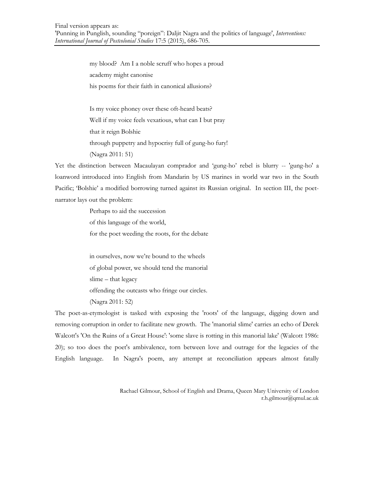my blood? Am I a noble scruff who hopes a proud academy might canonise his poems for their faith in canonical allusions?

Is my voice phoney over these oft-heard beats? Well if my voice feels vexatious, what can I but pray that it reign Bolshie through puppetry and hypocrisy full of gung-ho fury! (Nagra 2011: 51)

Yet the distinction between Macaulayan comprador and 'gung-ho' rebel is blurry -- 'gung-ho' a loanword introduced into English from Mandarin by US marines in world war two in the South Pacific; 'Bolshie' a modified borrowing turned against its Russian original. In section III, the poetnarrator lays out the problem:

> Perhaps to aid the succession of this language of the world, for the poet weeding the roots, for the debate

in ourselves, now we're bound to the wheels of global power, we should tend the manorial slime – that legacy offending the outcasts who fringe our circles. (Nagra 2011: 52)

The poet-as-etymologist is tasked with exposing the 'roots' of the language, digging down and removing corruption in order to facilitate new growth. The 'manorial slime' carries an echo of Derek Walcott's 'On the Ruins of a Great House': 'some slave is rotting in this manorial lake' (Walcott 1986: 20); so too does the poet's ambivalence, torn between love and outrage for the legacies of the English language. In Nagra's poem, any attempt at reconciliation appears almost fatally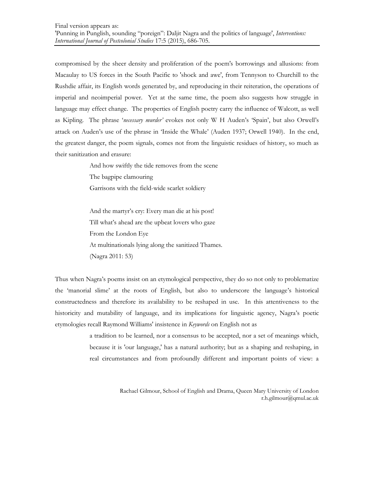compromised by the sheer density and proliferation of the poem's borrowings and allusions: from Macaulay to US forces in the South Pacific to 'shock and awe', from Tennyson to Churchill to the Rushdie affair, its English words generated by, and reproducing in their reiteration, the operations of imperial and neoimperial power. Yet at the same time, the poem also suggests how struggle in language may effect change. The properties of English poetry carry the influence of Walcott, as well as Kipling. The phrase '*necessary murder'* evokes not only W H Auden's 'Spain', but also Orwell's attack on Auden's use of the phrase in 'Inside the Whale' (Auden 1937; Orwell 1940). In the end, the greatest danger, the poem signals, comes not from the linguistic residues of history, so much as their sanitization and erasure:

> And how swiftly the tide removes from the scene The bagpipe clamouring Garrisons with the field-wide scarlet soldiery

And the martyr's cry: Every man die at his post! Till what's ahead are the upbeat lovers who gaze From the London Eye At multinationals lying along the sanitized Thames. (Nagra 2011: 53)

Thus when Nagra's poems insist on an etymological perspective, they do so not only to problematize the 'manorial slime' at the roots of English, but also to underscore the language's historical constructedness and therefore its availability to be reshaped in use. In this attentiveness to the historicity and mutability of language, and its implications for linguistic agency, Nagra's poetic etymologies recall Raymond Williams' insistence in *Keywords* on English not as

> a tradition to be learned, nor a consensus to be accepted, nor a set of meanings which, because it is 'our language,' has a natural authority; but as a shaping and reshaping, in real circumstances and from profoundly different and important points of view: a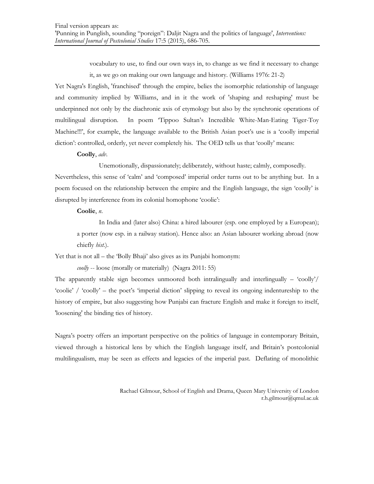vocabulary to use, to find our own ways in, to change as we find it necessary to change it, as we go on making our own language and history. (Williams 1976: 21-2)

Yet Nagra's English, 'franchised' through the empire, belies the isomorphic relationship of language and community implied by Williams, and in it the work of 'shaping and reshaping' must be underpinned not only by the diachronic axis of etymology but also by the synchronic operations of multilingual disruption. In poem 'Tippoo Sultan's Incredible White-Man-Eating Tiger-Toy Machine!!!', for example, the language available to the British Asian poet's use is a 'coolly imperial diction': controlled, orderly, yet never completely his. The OED tells us that 'coolly' means:

## **Coolly**, *adv*.

Unemotionally, dispassionately; deliberately, without haste; calmly, composedly.

Nevertheless, this sense of 'calm' and 'composed' imperial order turns out to be anything but. In a poem focused on the relationship between the empire and the English language, the sign 'coolly' is disrupted by interference from its colonial homophone 'coolie':

## **Coolie**, *n*.

In India and (later also) China: a hired labourer (esp. one employed by a European); a porter (now esp. in a railway station). Hence also: an Asian labourer working abroad (now chiefly *hist.*).

Yet that is not all – the 'Bolly Bhaji' also gives as its Punjabi homonym:

*coolly* -- loose (morally or materially) (Nagra 2011: 55)

The apparently stable sign becomes unmoored both intralingually and interlingually – 'coolly'/ 'coolie' / 'coolly' – the poet's 'imperial diction' slipping to reveal its ongoing indentureship to the history of empire, but also suggesting how Punjabi can fracture English and make it foreign to itself, 'loosening' the binding ties of history.

Nagra's poetry offers an important perspective on the politics of language in contemporary Britain, viewed through a historical lens by which the English language itself, and Britain's postcolonial multilingualism, may be seen as effects and legacies of the imperial past. Deflating of monolithic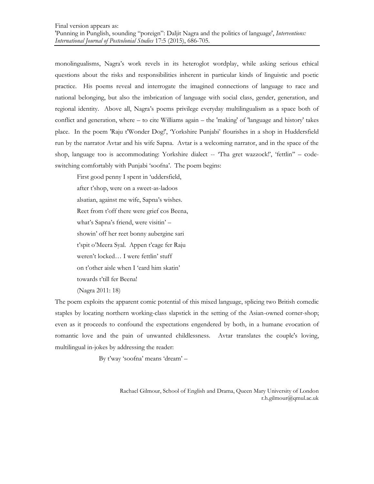monolingualisms, Nagra's work revels in its heteroglot wordplay, while asking serious ethical questions about the risks and responsibilities inherent in particular kinds of linguistic and poetic practice. His poems reveal and interrogate the imagined connections of language to race and national belonging, but also the imbrication of language with social class, gender, generation, and regional identity. Above all, Nagra's poems privilege everyday multilingualism as a space both of conflict and generation, where – to cite Williams again – the 'making' of 'language and history' takes place. In the poem 'Raju t'Wonder Dog!', 'Yorkshire Punjabi' flourishes in a shop in Huddersfield run by the narrator Avtar and his wife Sapna. Avtar is a welcoming narrator, and in the space of the shop, language too is accommodating: Yorkshire dialect -- 'Tha gret wazzock!', 'fettlin'' – codeswitching comfortably with Punjabi 'soofna'. The poem begins:

First good penny I spent in 'uddersfield, after t'shop, were on a sweet-as-ladoos alsatian, against me wife, Sapna's wishes. Reet from t'off there were grief cos Beena, what's Sapna's friend, were visitin' – showin' off her reet bonny aubergine sari t'spit o'Meera Syal. Appen t'cage fer Raju weren't locked… I were fettlin' stuff on t'other aisle when I 'eard him skatin' towards t'till fer Beena! (Nagra 2011: 18)

The poem exploits the apparent comic potential of this mixed language, splicing two British comedic staples by locating northern working-class slapstick in the setting of the Asian-owned corner-shop; even as it proceeds to confound the expectations engendered by both, in a humane evocation of romantic love and the pain of unwanted childlessness. Avtar translates the couple's loving, multilingual in-jokes by addressing the reader:

By t'way 'soofna' means 'dream' –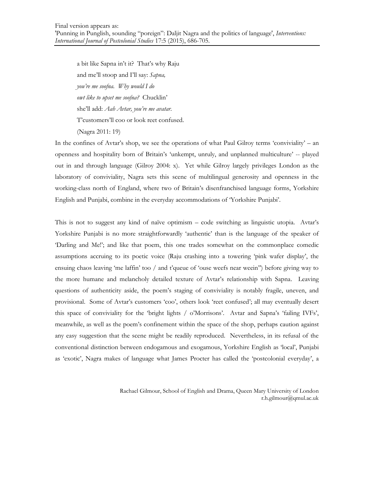a bit like Sapna in't it? That's why Raju and me'll stoop and I'll say: *Sapna, you're me soofna. Why would I do owt like to upset me soofna?* Chucklin' she'll add: *Aah Avtar, you're me avatar.* T'customers'll coo or look reet confused.

(Nagra 2011: 19)

In the confines of Avtar's shop, we see the operations of what Paul Gilroy terms 'conviviality' – an openness and hospitality born of Britain's 'unkempt, unruly, and unplanned multiculture' -- played out in and through language (Gilroy 2004: x). Yet while Gilroy largely privileges London as the laboratory of conviviality, Nagra sets this scene of multilingual generosity and openness in the working-class north of England, where two of Britain's disenfranchised language forms, Yorkshire English and Punjabi, combine in the everyday accommodations of 'Yorkshire Punjabi'.

This is not to suggest any kind of naïve optimism – code switching as linguistic utopia. Avtar's Yorkshire Punjabi is no more straightforwardly 'authentic' than is the language of the speaker of 'Darling and Me!'; and like that poem, this one trades somewhat on the commonplace comedic assumptions accruing to its poetic voice (Raju crashing into a towering 'pink wafer display', the ensuing chaos leaving 'me laffin' too / and t'queue of 'ouse weefs near weein'') before giving way to the more humane and melancholy detailed texture of Avtar's relationship with Sapna. Leaving questions of authenticity aside, the poem's staging of conviviality is notably fragile, uneven, and provisional. Some of Avtar's customers 'coo', others look 'reet confused'; all may eventually desert this space of conviviality for the 'bright lights / o'Morrisons'. Avtar and Sapna's 'failing IVFs', meanwhile, as well as the poem's confinement within the space of the shop, perhaps caution against any easy suggestion that the scene might be readily reproduced. Nevertheless, in its refusal of the conventional distinction between endogamous and exogamous, Yorkshire English as 'local', Punjabi as 'exotic', Nagra makes of language what James Procter has called the 'postcolonial everyday', a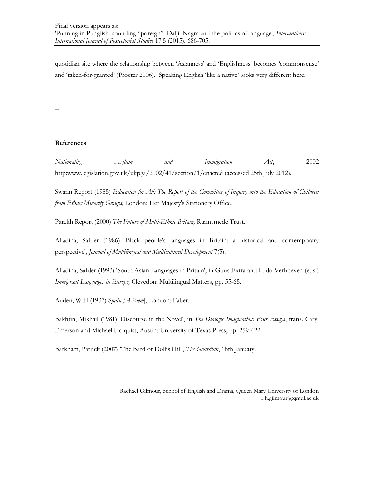quotidian site where the relationship between 'Asianness' and 'Englishness' becomes 'commonsense' and 'taken-for-granted' (Procter 2006). Speaking English 'like a native' looks very different here.

--

# **References**

*Nationality, Asylum and Immigration Act*, 2002 http:www.legislation.gov.uk/ukpga/2002/41/section/1/enacted (accessed 25th July 2012).

Swann Report (1985) *Education for All: The Report of the Committee of Inquiry into the Education of Children from Ethnic Minority Groups,* London: Her Majesty's Stationery Office.

Parekh Report (2000) *The Future of Multi-Ethnic Britain,* Runnymede Trust.

Alladina, Safder (1986) 'Black people's languages in Britain: a historical and contemporary perspective', *Journal of Multilingual and Multicultural Development* 7(5).

Alladina, Safder (1993) 'South Asian Languages in Britain', in Guus Extra and Ludo Verhoeven (eds.) *Immigrant Languages in Europe,* Clevedon: Multilingual Matters, pp. 55-65.

Auden, W H (1937) S*pain [A Poem*], London: Faber.

Bakhtin, Mikhail (1981) 'Discourse in the Novel', in *The Dialogic Imagination: Four Essays*, trans. Caryl Emerson and Michael Holquist, Austin: University of Texas Press, pp. 259-422.

Barkham, Patrick (2007) 'The Bard of Dollis Hill', *The Guardian*, 18th January.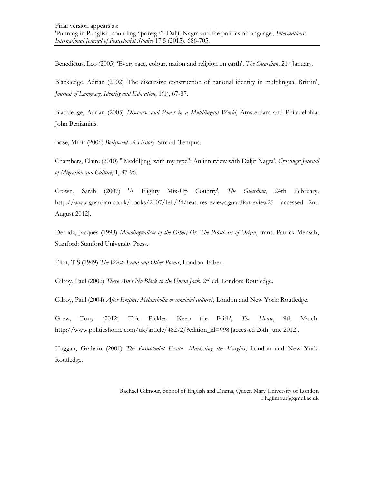Benedictus, Leo (2005) 'Every race, colour, nation and religion on earth', *The Guardian*, 21st January.

Blackledge, Adrian (2002) 'The discursive construction of national identity in multilingual Britain', *Journal of Language, Identity and Education*, 1(1), 67-87.

Blackledge, Adrian (2005) *Discourse and Power in a Multilingual World*, Amsterdam and Philadelphia: John Benjamins.

Bose, Mihir (2006) *Bollywood: A History,* Stroud: Tempus.

Chambers, Claire (2010) '"Meddl[ing] with my type": An interview with Daljit Nagra', *Crossings: Journal of Migration and Culture*, 1, 87-96.

Crown, Sarah (2007) 'A Flighty Mix-Up Country', *The Guardian*, 24th February. http://www.guardian.co.uk/books/2007/feb/24/featuresreviews.guardianreview25 [accessed 2nd August 2012].

Derrida, Jacques (1998) *Monolingualism of the Other; Or, The Prosthesis of Origin*, trans. Patrick Mensah, Stanford: Stanford University Press.

Eliot, T S (1949) *The Waste Land and Other Poems*, London: Faber.

Gilroy, Paul (2002) *There Ain't No Black in the Union Jack*, 2nd ed, London: Routledge.

Gilroy, Paul (2004) *After Empire: Melancholia or convivial culture?*, London and New York: Routledge.

Grew, Tony (2012) 'Eric Pickles: Keep the Faith', *The House*, 9th March. http://www.politicshome.com/uk/article/48272/?edition\_id=998 [accessed 26th June 2012].

Huggan, Graham (2001) *The Postcolonial Exotic: Marketing the Margins*, London and New York: Routledge.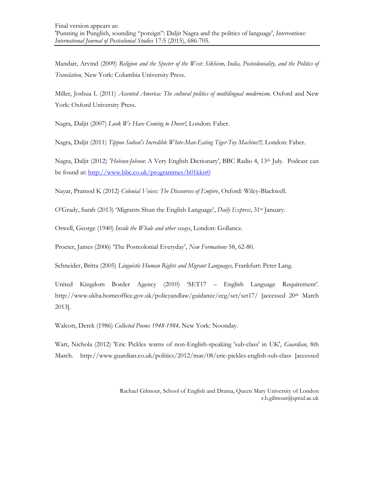Mandair, Arvind (2009) *Religion and the Specter of the West: Sikhism, India, Postcoloniality, and the Politics of Translation,* New York: Columbia University Press.

Miller, Joshua L (2011) *Accented America: The cultural politics of multilingual modernism,* Oxford and New York: Oxford University Press.

Nagra, Daljit (2007) *Look We Have Coming to Dover!,* London: Faber.

Nagra, Daljit (2011) *Tippoo Sultan's Incredible White-Man-Eating Tiger-Toy Machine!!!, London: Faber.* 

Nagra, Daljit (2012) *'Hobson-Jobson*: A Very English Dictionary', BBC Radio 4, 13th July. Podcast can be found at:<http://www.bbc.co.uk/programmes/b01kksr0>

Nayar, Pramod K (2012) *Colonial Voices: The Discourses of Empire*, Oxford: Wiley-Blackwell.

O'Grady, Sarah (2013) 'Migrants Shun the English Language', *Daily Express*, 31st January.

Orwell, George (1940) *Inside the Whale and other essays*, London: Gollancz.

Procter, James (2006) 'The Postcolonial Everyday', *New Formations* 58, 62-80.

Schneider, Britta (2005) *Linguistic Human Rights and Migrant Languages,* Frankfurt: Peter Lang.

United Kingdom Border Agency (2010) 'SET17 – English Language Requirement'. http://www.ukba.homeoffice.gov.uk/policyandlaw/guidance/ecg/set/set17/ [accessed 20th March 2013].

Walcott, Derek (1986) *Collected Poems 1948-1984,* New York: Noonday.

Watt, Nichola (2012) 'Eric Pickles warns of non-English-speaking 'sub-class' in UK', *Guardian*, 8th March. http://www.guardian.co.uk/politics/2012/mar/08/eric-pickles-english-sub-class [accessed